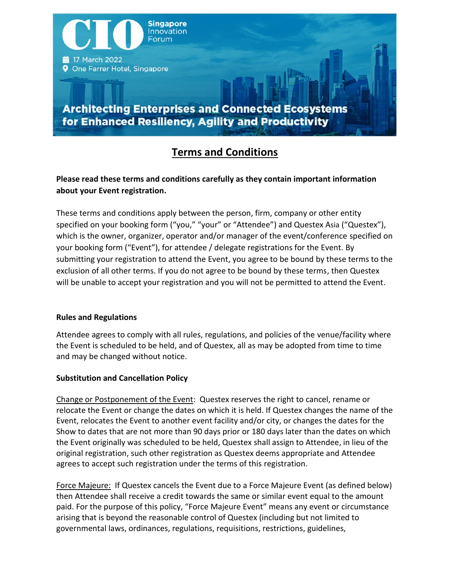

# **Terms and Conditions**

# **Please read these terms and conditions carefully as they contain important information about your Event registration.**

These terms and conditions apply between the person, firm, company or other entity specified on your booking form ("you," "your" or "Attendee") and Questex Asia ("Questex"), which is the owner, organizer, operator and/or manager of the event/conference specified on your booking form ("Event"), for attendee / delegate registrations for the Event. By submitting your registration to attend the Event, you agree to be bound by these terms to the exclusion of all other terms. If you do not agree to be bound by these terms, then Questex will be unable to accept your registration and you will not be permitted to attend the Event.

# **Rules and Regulations**

Attendee agrees to comply with all rules, regulations, and policies of the venue/facility where the Event is scheduled to be held, and of Questex, all as may be adopted from time to time and may be changed without notice.

# **Substitution and Cancellation Policy**

Change or Postponement of the Event: Questex reserves the right to cancel, rename or relocate the Event or change the dates on which it is held. If Questex changes the name of the Event, relocates the Event to another event facility and/or city, or changes the dates for the Show to dates that are not more than 90 days prior or 180 days later than the dates on which the Event originally was scheduled to be held, Questex shall assign to Attendee, in lieu of the original registration, such other registration as Questex deems appropriate and Attendee agrees to accept such registration under the terms of this registration.

Force Majeure: If Questex cancels the Event due to a Force Majeure Event (as defined below) then Attendee shall receive a credit towards the same or similar event equal to the amount paid. For the purpose of this policy, "Force Majeure Event" means any event or circumstance arising that is beyond the reasonable control of Questex (including but not limited to governmental laws, ordinances, regulations, requisitions, restrictions, guidelines,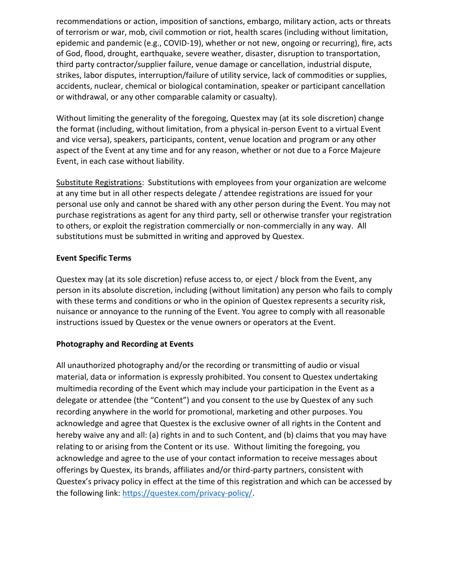recommendations or action, imposition of sanctions, embargo, military action, acts or threats of terrorism or war, mob, civil commotion or riot, health scares (including without limitation, epidemic and pandemic (e.g., COVID-19), whether or not new, ongoing or recurring), fire, acts of God, flood, drought, earthquake, severe weather, disaster, disruption to transportation, third party contractor/supplier failure, venue damage or cancellation, industrial dispute, strikes, labor disputes, interruption/failure of utility service, lack of commodities or supplies, accidents, nuclear, chemical or biological contamination, speaker or participant cancellation or withdrawal, or any other comparable calamity or casualty).

Without limiting the generality of the foregoing, Questex may (at its sole discretion) change the format (including, without limitation, from a physical in-person Event to a virtual Event and vice versa), speakers, participants, content, venue location and program or any other aspect of the Event at any time and for any reason, whether or not due to a Force Majeure Event, in each case without liability.

Substitute Registrations: Substitutions with employees from your organization are welcome at any time but in all other respects delegate / attendee registrations are issued for your personal use only and cannot be shared with any other person during the Event. You may not purchase registrations as agent for any third party, sell or otherwise transfer your registration to others, or exploit the registration commercially or non-commercially in any way. All substitutions must be submitted in writing and approved by Questex.

#### **Event Specific Terms**

Questex may (at its sole discretion) refuse access to, or eject / block from the Event, any person in its absolute discretion, including (without limitation) any person who fails to comply with these terms and conditions or who in the opinion of Questex represents a security risk, nuisance or annoyance to the running of the Event. You agree to comply with all reasonable instructions issued by Questex or the venue owners or operators at the Event.

#### **Photography and Recording at Events**

All unauthorized photography and/or the recording or transmitting of audio or visual material, data or information is expressly prohibited. You consent to Questex undertaking multimedia recording of the Event which may include your participation in the Event as a delegate or attendee (the "Content") and you consent to the use by Questex of any such recording anywhere in the world for promotional, marketing and other purposes. You acknowledge and agree that Questex is the exclusive owner of all rights in the Content and hereby waive any and all: (a) rights in and to such Content, and (b) claims that you may have relating to or arising from the Content or its use. Without limiting the foregoing, you acknowledge and agree to the use of your contact information to receive messages about offerings by Questex, its brands, affiliates and/or third-party partners, consistent with Questex's privacy policy in effect at the time of this registration and which can be accessed by the following link: [https://questex.com/privacy-policy/.](https://questex.com/privacy-policy/)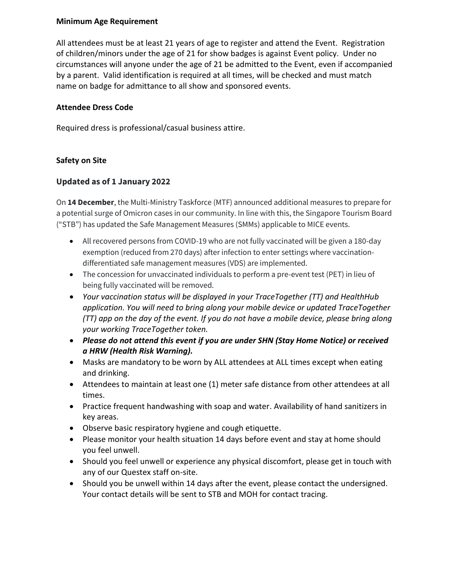#### **Minimum Age Requirement**

All attendees must be at least 21 years of age to register and attend the Event. Registration of children/minors under the age of 21 for show badges is against Event policy. Under no circumstances will anyone under the age of 21 be admitted to the Event, even if accompanied by a parent. Valid identification is required at all times, will be checked and must match name on badge for admittance to all show and sponsored events.

#### **Attendee Dress Code**

Required dress is professional/casual business attire.

#### **Safety on Site**

# **Updated as of 1 January 2022**

On **14 December**, the Multi-Ministry Taskforce (MTF) announced additional measures to prepare for a potential surge of Omicron cases in our community. In line with this, the Singapore Tourism Board ("STB") has updated the Safe Management Measures (SMMs) applicable to MICE events.

- All recovered persons from COVID-19 who are not fully vaccinated will be given a 180-day exemption (reduced from 270 days) after infection to enter settings where vaccinationdifferentiated safe management measures (VDS) are implemented.
- The concession for unvaccinated individuals to perform a pre-event test (PET) in lieu of being fully vaccinated will be removed.
- *Your vaccination status will be displayed in your TraceTogether (TT) and HealthHub application. You will need to bring along your mobile device or updated TraceTogether (TT) app on the day of the event. If you do not have a mobile device, please bring along your working TraceTogether token.*
- *Please do not attend this event if you are under SHN (Stay Home Notice) or received a HRW (Health Risk Warning).*
- Masks are mandatory to be worn by ALL attendees at ALL times except when eating and drinking.
- Attendees to maintain at least one (1) meter safe distance from other attendees at all times.
- Practice frequent handwashing with soap and water. Availability of hand sanitizers in key areas.
- Observe basic respiratory hygiene and cough etiquette.
- Please monitor your health situation 14 days before event and stay at home should you feel unwell.
- Should you feel unwell or experience any physical discomfort, please get in touch with any of our Questex staff on-site.
- Should you be unwell within 14 days after the event, please contact the undersigned. Your contact details will be sent to STB and MOH for contact tracing.